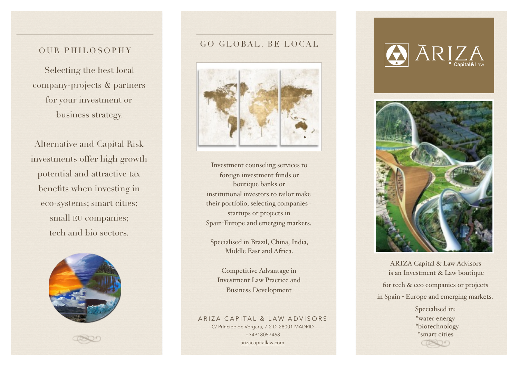### OUR PHILOSOPHY

Selecting the best local company-projects & partners for your investment or business strategy.

Alternative and Capital Risk investments offer high growth potential and attractive tax benefits when investing in eco-systems; smart cities; small EU companies; tech and bio sectors.



## GO GLOBAL. BE LOCAL



Investment counseling services to foreign investment funds or boutique banks or institutional investors to tailor-make their portfolio, selecting companies startups or projects in Spain-Europe and emerging markets.

Specialised in Brazil, China, India, Middle East and Africa.

Competitive Advantage in Investment Law Practice and Business Development

ARIZA CAPITAL & LAW ADVISORS C/ Príncipe de Vergara, 7-2 D. 28001 MADRID +34918057468 [arizacapitallaw.com](http://arizacapitallaw.com)





ARIZA Capital & Law Advisors is an Investment & Law boutique for tech & eco companies or projects in Spain - Europe and emerging markets.

> Specialised in: \*water-energy \*biotechnology \*smart cities